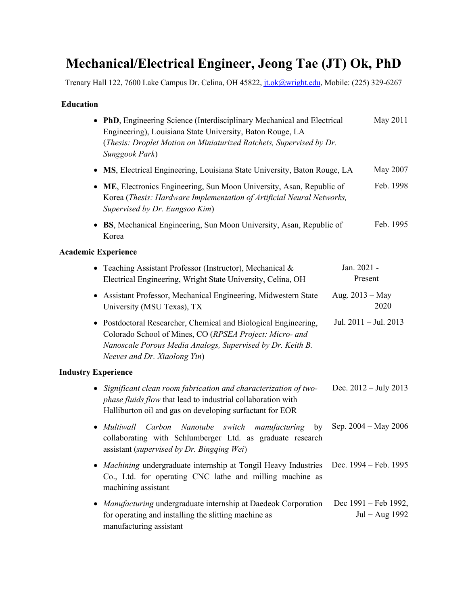# **Mechanical/Electrical Engineer, Jeong Tae (JT) Ok, PhD**

Trenary Hall 122, 7600 Lake Campus Dr. Celina, OH 45822, *jt.ok@wright.edu*, Mobile: (225) 329-6267

## **Education**

| • PhD, Engineering Science (Interdisciplinary Mechanical and Electrical<br>Engineering), Louisiana State University, Baton Rouge, LA<br>(Thesis: Droplet Motion on Miniaturized Ratchets, Supervised by Dr.<br>Sunggook Park) | May 2011                               |
|-------------------------------------------------------------------------------------------------------------------------------------------------------------------------------------------------------------------------------|----------------------------------------|
| MS, Electrical Engineering, Louisiana State University, Baton Rouge, LA                                                                                                                                                       | May 2007                               |
| ME, Electronics Engineering, Sun Moon University, Asan, Republic of<br>$\bullet$<br>Korea (Thesis: Hardware Implementation of Artificial Neural Networks,<br>Supervised by Dr. Eungsoo Kim)                                   | Feb. 1998                              |
| BS, Mechanical Engineering, Sun Moon University, Asan, Republic of<br>Korea                                                                                                                                                   | Feb. 1995                              |
| <b>Academic Experience</b>                                                                                                                                                                                                    |                                        |
| • Teaching Assistant Professor (Instructor), Mechanical $\&$<br>Electrical Engineering, Wright State University, Celina, OH                                                                                                   | Jan. 2021 -<br>Present                 |
| • Assistant Professor, Mechanical Engineering, Midwestern State<br>University (MSU Texas), TX                                                                                                                                 | Aug. 2013 - May<br>2020                |
| • Postdoctoral Researcher, Chemical and Biological Engineering,<br>Colorado School of Mines, CO (RPSEA Project: Micro- and<br>Nanoscale Porous Media Analogs, Supervised by Dr. Keith B.<br>Neeves and Dr. Xiaolong Yin)      | Jul. 2011 - Jul. 2013                  |
| <b>Industry Experience</b>                                                                                                                                                                                                    |                                        |
| • Significant clean room fabrication and characterization of two-<br>phase fluids flow that lead to industrial collaboration with<br>Halliburton oil and gas on developing surfactant for EOR                                 | Dec. $2012 - July 2013$                |
| Multiwall<br>Carbon<br>Nanotube switch<br>manufacturing<br>by<br>$\bullet$<br>collaborating with Schlumberger Ltd. as graduate research<br>assistant (supervised by Dr. Bingqing Wei)                                         | Sep. $2004 - May 2006$                 |
| • Machining undergraduate internship at Tongil Heavy Industries<br>Co., Ltd. for operating CNC lathe and milling machine as<br>machining assistant                                                                            | Dec. 1994 – Feb. 1995                  |
| Manufacturing undergraduate internship at Daedeok Corporation<br>٠<br>for operating and installing the slitting machine as                                                                                                    | Dec 1991 - Feb 1992,<br>Jul - Aug 1992 |

manufacturing assistant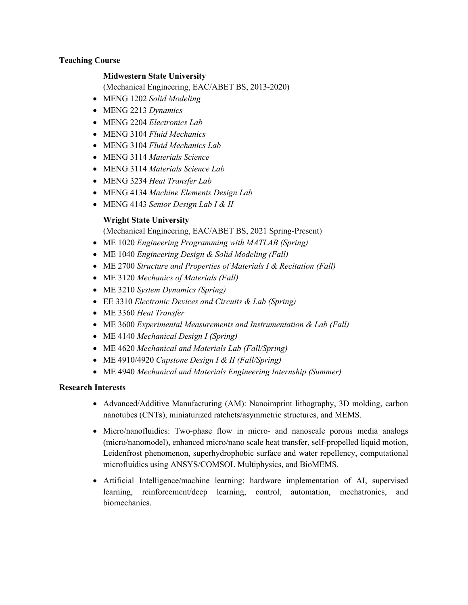## **Teaching Course**

## **Midwestern State University**

(Mechanical Engineering, EAC/ABET BS, 2013-2020)

- MENG 1202 *Solid Modeling*
- MENG 2213 *Dynamics*
- MENG 2204 *Electronics Lab*
- MENG 3104 *Fluid Mechanics*
- MENG 3104 *Fluid Mechanics Lab*
- MENG 3114 *Materials Science*
- MENG 3114 *Materials Science Lab*
- MENG 3234 *Heat Transfer Lab*
- MENG 4134 *Machine Elements Design Lab*
- MENG 4143 *Senior Design Lab I & II*

# **Wright State University**

(Mechanical Engineering, EAC/ABET BS, 2021 Spring-Present)

- ME 1020 *Engineering Programming with MATLAB (Spring)*
- ME 1040 *Engineering Design & Solid Modeling (Fall)*
- ME 2700 *Structure and Properties of Materials I & Recitation (Fall)*
- ME 3120 *Mechanics of Materials (Fall)*
- ME 3210 *System Dynamics (Spring)*
- EE 3310 *Electronic Devices and Circuits & Lab (Spring)*
- ME 3360 *Heat Transfer*
- ME 3600 *Experimental Measurements and Instrumentation & Lab (Fall)*
- ME 4140 *Mechanical Design I (Spring)*
- ME 4620 *Mechanical and Materials Lab (Fall/Spring)*
- ME 4910/4920 *Capstone Design I & II (Fall/Spring)*
- ME 4940 *Mechanical and Materials Engineering Internship (Summer)*

# **Research Interests**

- Advanced/Additive Manufacturing (AM): Nanoimprint lithography, 3D molding, carbon nanotubes (CNTs), miniaturized ratchets/asymmetric structures, and MEMS.
- Micro/nanofluidics: Two-phase flow in micro- and nanoscale porous media analogs (micro/nanomodel), enhanced micro/nano scale heat transfer, self-propelled liquid motion, Leidenfrost phenomenon, superhydrophobic surface and water repellency, computational microfluidics using ANSYS/COMSOL Multiphysics, and BioMEMS.
- Artificial Intelligence/machine learning: hardware implementation of AI, supervised learning, reinforcement/deep learning, control, automation, mechatronics, and biomechanics.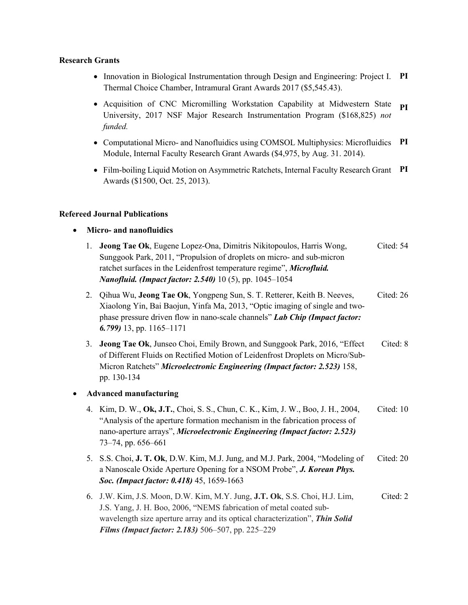#### **Research Grants**

- Innovation in Biological Instrumentation through Design and Engineering: Project I. **PI** Thermal Choice Chamber, Intramural Grant Awards 2017 (\$5,545.43).
- Acquisition of CNC Micromilling Workstation Capability at Midwestern State University, 2017 NSF Major Research Instrumentation Program (\$168,825) *not funded.* **PI**
- Computational Micro- and Nanofluidics using COMSOL Multiphysics: Microfluidics **PI** Module, Internal Faculty Research Grant Awards (\$4,975, by Aug. 31. 2014).
- Film-boiling Liquid Motion on Asymmetric Ratchets, Internal Faculty Research Grant **PI** Awards (\$1500, Oct. 25, 2013).

## **Refereed Journal Publications**

- **Micro- and nanofluidics**
	- 1. **Jeong Tae Ok**, Eugene Lopez-Ona, Dimitris Nikitopoulos, Harris Wong, Sunggook Park, 2011, "Propulsion of droplets on micro- and sub-micron ratchet surfaces in the Leidenfrost temperature regime", *Microfluid. Nanofluid. (Impact factor: 2.540)* 10 (5), pp. 1045–1054 Cited: 54
	- 2. Qihua Wu, **Jeong Tae Ok**, Yongpeng Sun, S. T. Retterer, Keith B. Neeves, Xiaolong Yin, Bai Baojun, Yinfa Ma, 2013, "Optic imaging of single and twophase pressure driven flow in nano-scale channels" *Lab Chip (Impact factor: 6.799)* 13, pp. 1165–1171 Cited: 26
	- 3. **Jeong Tae Ok**, Junseo Choi, Emily Brown, and Sunggook Park, 2016, "Effect of Different Fluids on Rectified Motion of Leidenfrost Droplets on Micro/Sub-Micron Ratchets" *Microelectronic Engineering (Impact factor: 2.523)* 158, pp. 130-134 Cited: 8

# • **Advanced manufacturing**

- 4. Kim, D. W., **Ok, J.T.**, Choi, S. S., Chun, C. K., Kim, J. W., Boo, J. H., 2004, "Analysis of the aperture formation mechanism in the fabrication process of nano-aperture arrays", *Microelectronic Engineering (Impact factor: 2.523)*  73–74, pp. 656–661 Cited: 10
- 5. S.S. Choi, **J. T. Ok**, D.W. Kim, M.J. Jung, and M.J. Park, 2004, "Modeling of a Nanoscale Oxide Aperture Opening for a NSOM Probe", *J. Korean Phys. Soc. (Impact factor: 0.418)* 45, 1659-1663 Cited: 20
- 6. J.W. Kim, J.S. Moon, D.W. Kim, M.Y. Jung, **J.T. Ok**, S.S. Choi, H.J. Lim, J.S. Yang, J. H. Boo, 2006, "NEMS fabrication of metal coated subwavelength size aperture array and its optical characterization", *Thin Solid Films (Impact factor: 2.183)* 506–507, pp. 225–229 Cited: 2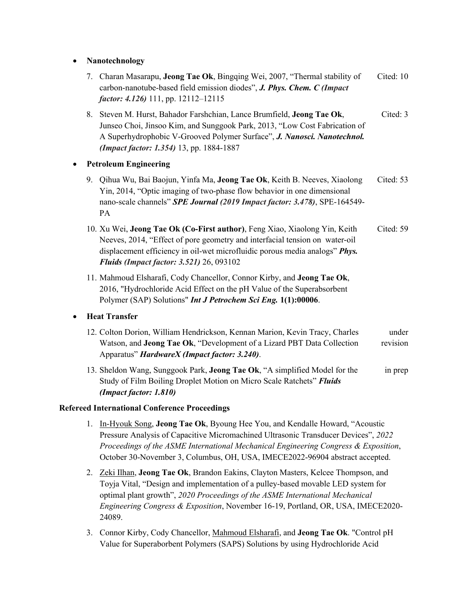## • **Nanotechnology**

- 7. Charan Masarapu, **Jeong Tae Ok**, Bingqing Wei, 2007, "Thermal stability of carbon-nanotube-based field emission diodes", *J. Phys. Chem. C (Impact factor: 4.126)* 111, pp. 12112–12115 Cited: 10
- 8. Steven M. Hurst, Bahador Farshchian, Lance Brumfield, **Jeong Tae Ok**, Junseo Choi, Jinsoo Kim, and Sunggook Park, 2013, "Low Cost Fabrication of A Superhydrophobic V-Grooved Polymer Surface", *J. Nanosci. Nanotechnol. (Impact factor: 1.354)* 13, pp. 1884-1887 Cited: 3

# • **Petroleum Engineering**

- 9. Qihua Wu, Bai Baojun, Yinfa Ma, **Jeong Tae Ok**, Keith B. Neeves, Xiaolong Yin, 2014, "Optic imaging of two-phase flow behavior in one dimensional nano-scale channels" *SPE Journal (2019 Impact factor: 3.478)*, SPE-164549- PA Cited: 53
- 10. Xu Wei, **Jeong Tae Ok (Co-First author)**, Feng Xiao, Xiaolong Yin, Keith Neeves, 2014, "Effect of pore geometry and interfacial tension on water-oil displacement efficiency in oil-wet microfluidic porous media analogs" *Phys. Fluids (Impact factor: 3.521)* 26, 093102 Cited: 59
- 11. Mahmoud Elsharafi, Cody Chancellor, Connor Kirby, and **Jeong Tae Ok**, 2016, "Hydrochloride Acid Effect on the pH Value of the Superabsorbent Polymer (SAP) Solutions" *Int J Petrochem Sci Eng.* **1(1):00006**.

# • **Heat Transfer**

- 12. Colton Dorion, William Hendrickson, Kennan Marion, Kevin Tracy, Charles Watson, and **Jeong Tae Ok**, "Development of a Lizard PBT Data Collection Apparatus" *HardwareX (Impact factor: 3.240)*. under revision
- 13. Sheldon Wang, Sunggook Park, **Jeong Tae Ok**, "A simplified Model for the Study of Film Boiling Droplet Motion on Micro Scale Ratchets" *Fluids (Impact factor: 1.810)* in prep

# **Refereed International Conference Proceedings**

- 1. In-Hyouk Song, **Jeong Tae Ok**, Byoung Hee You, and Kendalle Howard, "Acoustic Pressure Analysis of Capacitive Micromachined Ultrasonic Transducer Devices", *2022 Proceedings of the ASME International Mechanical Engineering Congress & Exposition*, October 30-November 3, Columbus, OH, USA, IMECE2022-96904 abstract accepted.
- 2. Zeki Ilhan, **Jeong Tae Ok**, Brandon Eakins, Clayton Masters, Kelcee Thompson, and Toyja Vital, "Design and implementation of a pulley-based movable LED system for optimal plant growth", *2020 Proceedings of the ASME International Mechanical Engineering Congress & Exposition*, November 16-19, Portland, OR, USA, IMECE2020- 24089.
- 3. Connor Kirby, Cody Chancellor, Mahmoud Elsharafi, and **Jeong Tae Ok**. "Control pH Value for Superaborbent Polymers (SAPS) Solutions by using Hydrochloride Acid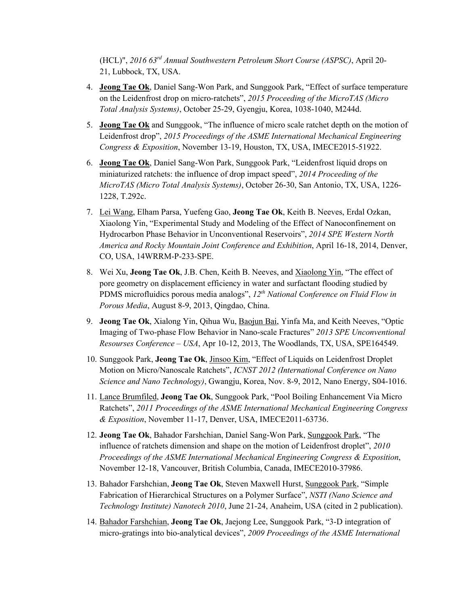(HCL)", *2016 63rd Annual Southwestern Petroleum Short Course (ASPSC)*, April 20- 21, Lubbock, TX, USA.

- 4. **Jeong Tae Ok**, Daniel Sang-Won Park, and Sunggook Park, "Effect of surface temperature on the Leidenfrost drop on micro-ratchets", *2015 Proceeding of the MicroTAS (Micro Total Analysis Systems)*, October 25-29, Gyengju, Korea, 1038-1040, M244d.
- 5. **Jeong Tae Ok** and Sunggook, "The influence of micro scale ratchet depth on the motion of Leidenfrost drop", *2015 Proceedings of the ASME International Mechanical Engineering Congress & Exposition*, November 13-19, Houston, TX, USA, IMECE2015-51922.
- 6. **Jeong Tae Ok**, Daniel Sang-Won Park, Sunggook Park, "Leidenfrost liquid drops on miniaturized ratchets: the influence of drop impact speed", *2014 Proceeding of the MicroTAS (Micro Total Analysis Systems)*, October 26-30, San Antonio, TX, USA, 1226- 1228, T.292c.
- 7. Lei Wang, Elham Parsa, Yuefeng Gao, **Jeong Tae Ok**, Keith B. Neeves, Erdal Ozkan, Xiaolong Yin, "Experimental Study and Modeling of the Effect of Nanoconfinement on Hydrocarbon Phase Behavior in Unconventional Reservoirs", *2014 SPE Western North America and Rocky Mountain Joint Conference and Exhibition*, April 16-18, 2014, Denver, CO, USA, 14WRRM-P-233-SPE.
- 8. Wei Xu, **Jeong Tae Ok**, J.B. Chen, Keith B. Neeves, and Xiaolong Yin, "The effect of pore geometry on displacement efficiency in water and surfactant flooding studied by PDMS microfluidics porous media analogs", *12th National Conference on Fluid Flow in Porous Media*, August 8-9, 2013, Qingdao, China.
- 9. **Jeong Tae Ok**, Xialong Yin, Qihua Wu, Baojun Bai, Yinfa Ma, and Keith Neeves, "Optic Imaging of Two-phase Flow Behavior in Nano-scale Fractures" *2013 SPE Unconventional Resourses Conference – USA*, Apr 10-12, 2013, The Woodlands, TX, USA, SPE164549.
- 10. Sunggook Park, **Jeong Tae Ok**, Jinsoo Kim, "Effect of Liquids on Leidenfrost Droplet Motion on Micro/Nanoscale Ratchets", *ICNST 2012 (International Conference on Nano Science and Nano Technology)*, Gwangju, Korea, Nov. 8-9, 2012, Nano Energy, S04-1016.
- 11. Lance Brumfiled, **Jeong Tae Ok**, Sunggook Park, "Pool Boiling Enhancement Via Micro Ratchets", *2011 Proceedings of the ASME International Mechanical Engineering Congress & Exposition*, November 11-17, Denver, USA, IMECE2011-63736.
- 12. **Jeong Tae Ok**, Bahador Farshchian, Daniel Sang-Won Park, Sunggook Park, "The influence of ratchets dimension and shape on the motion of Leidenfrost droplet", *2010 Proceedings of the ASME International Mechanical Engineering Congress & Exposition*, November 12-18, Vancouver, British Columbia, Canada, IMECE2010-37986.
- 13. Bahador Farshchian, **Jeong Tae Ok**, Steven Maxwell Hurst, Sunggook Park, "Simple Fabrication of Hierarchical Structures on a Polymer Surface", *NSTI (Nano Science and Technology Institute) Nanotech 2010*, June 21-24, Anaheim, USA (cited in 2 publication).
- 14. Bahador Farshchian, **Jeong Tae Ok**, Jaejong Lee, Sunggook Park, "3-D integration of micro-gratings into bio-analytical devices", *2009 Proceedings of the ASME International*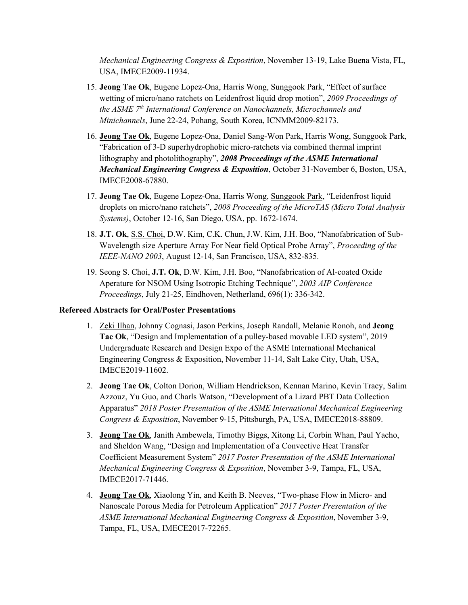*Mechanical Engineering Congress & Exposition*, November 13-19, Lake Buena Vista, FL, USA, IMECE2009-11934.

- 15. **Jeong Tae Ok**, Eugene Lopez-Ona, Harris Wong, Sunggook Park, "Effect of surface wetting of micro/nano ratchets on Leidenfrost liquid drop motion", *2009 Proceedings of the ASME 7th International Conference on Nanochannels, Microchannels and Minichannels*, June 22-24, Pohang, South Korea, ICNMM2009-82173.
- 16. **Jeong Tae Ok**, Eugene Lopez-Ona, Daniel Sang-Won Park, Harris Wong, Sunggook Park, "Fabrication of 3-D superhydrophobic micro-ratchets via combined thermal imprint lithography and photolithography", *2008 Proceedings of the ASME International Mechanical Engineering Congress & Exposition*, October 31-November 6, Boston, USA, IMECE2008-67880.
- 17. **Jeong Tae Ok**, Eugene Lopez-Ona, Harris Wong, Sunggook Park, "Leidenfrost liquid droplets on micro/nano ratchets", *2008 Proceeding of the MicroTAS (Micro Total Analysis Systems)*, October 12-16, San Diego, USA, pp. 1672-1674.
- 18. **J.T. Ok**, S.S. Choi, D.W. Kim, C.K. Chun, J.W. Kim, J.H. Boo, "Nanofabrication of Sub-Wavelength size Aperture Array For Near field Optical Probe Array", *Proceeding of the IEEE-NANO 2003*, August 12-14, San Francisco, USA, 832-835.
- 19. Seong S. Choi, **J.T. Ok**, D.W. Kim, J.H. Boo, "Nanofabrication of Al-coated Oxide Aperature for NSOM Using Isotropic Etching Technique", *2003 AIP Conference Proceedings*, July 21-25, Eindhoven, Netherland, 696(1): 336-342.

## **Refereed Abstracts for Oral/Poster Presentations**

- 1. Zeki Ilhan, Johnny Cognasi, Jason Perkins, Joseph Randall, Melanie Ronoh, and **Jeong Tae Ok**, "Design and Implementation of a pulley-based movable LED system", 2019 Undergraduate Research and Design Expo of the ASME International Mechanical Engineering Congress & Exposition, November 11-14, Salt Lake City, Utah, USA, IMECE2019-11602.
- 2. **Jeong Tae Ok**, Colton Dorion, William Hendrickson, Kennan Marino, Kevin Tracy, Salim Azzouz, Yu Guo, and Charls Watson, "Development of a Lizard PBT Data Collection Apparatus" *2018 Poster Presentation of the ASME International Mechanical Engineering Congress & Exposition*, November 9-15, Pittsburgh, PA, USA, IMECE2018-88809.
- 3. **Jeong Tae Ok**, Janith Ambewela, Timothy Biggs, Xitong Li, Corbin Whan, Paul Yacho, and Sheldon Wang, "Design and Implementation of a Convective Heat Transfer Coefficient Measurement System" *2017 Poster Presentation of the ASME International Mechanical Engineering Congress & Exposition*, November 3-9, Tampa, FL, USA, IMECE2017-71446.
- 4. **Jeong Tae Ok**, Xiaolong Yin, and Keith B. Neeves, "Two-phase Flow in Micro- and Nanoscale Porous Media for Petroleum Application" *2017 Poster Presentation of the ASME International Mechanical Engineering Congress & Exposition*, November 3-9, Tampa, FL, USA, IMECE2017-72265.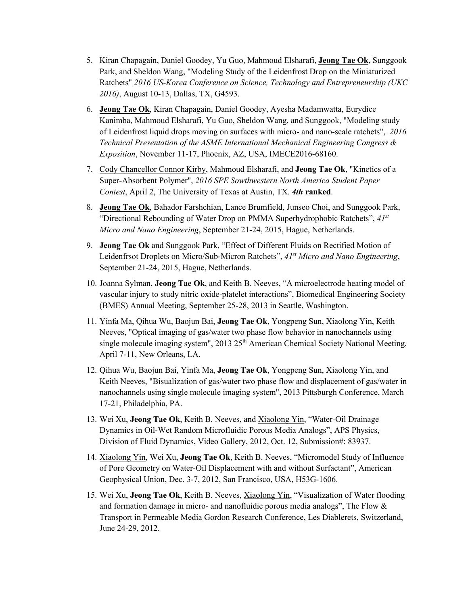- 5. Kiran Chapagain, Daniel Goodey, Yu Guo, Mahmoud Elsharafi, **Jeong Tae Ok**, Sunggook Park, and Sheldon Wang, "Modeling Study of the Leidenfrost Drop on the Miniaturized Ratchets" *2016 US-Korea Conference on Science, Technology and Entrepreneurship (UKC 2016)*, August 10-13, Dallas, TX, G4593.
- 6. **Jeong Tae Ok**, Kiran Chapagain, Daniel Goodey, Ayesha Madamwatta, Eurydice Kanimba, Mahmoud Elsharafi, Yu Guo, Sheldon Wang, and Sunggook, "Modeling study of Leidenfrost liquid drops moving on surfaces with micro- and nano-scale ratchets", *2016 Technical Presentation of the ASME International Mechanical Engineering Congress & Exposition*, November 11-17, Phoenix, AZ, USA, IMECE2016-68160.
- 7. Cody Chancellor Connor Kirby, Mahmoud Elsharafi, and **Jeong Tae Ok**, "Kinetics of a Super-Absorbent Polymer", *2016 SPE Sowthwestern North America Student Paper Contest*, April 2, The University of Texas at Austin, TX. *4th* **ranked**.
- 8. **Jeong Tae Ok**, Bahador Farshchian, Lance Brumfield, Junseo Choi, and Sunggook Park, "Directional Rebounding of Water Drop on PMMA Superhydrophobic Ratchets", *41st Micro and Nano Engineering*, September 21-24, 2015, Hague, Netherlands.
- 9. **Jeong Tae Ok** and Sunggook Park, "Effect of Different Fluids on Rectified Motion of Leidenfrsot Droplets on Micro/Sub-Micron Ratchets", *41st Micro and Nano Engineering*, September 21-24, 2015, Hague, Netherlands.
- 10. Joanna Sylman, **Jeong Tae Ok**, and Keith B. Neeves, "A microelectrode heating model of vascular injury to study nitric oxide-platelet interactions", Biomedical Engineering Society (BMES) Annual Meeting, September 25-28, 2013 in Seattle, Washington.
- 11. Yinfa Ma, Qihua Wu, Baojun Bai, **Jeong Tae Ok**, Yongpeng Sun, Xiaolong Yin, Keith Neeves, "Optical imaging of gas/water two phase flow behavior in nanochannels using single molecule imaging system", 2013 25<sup>th</sup> American Chemical Society National Meeting, April 7-11, New Orleans, LA.
- 12. Qihua Wu, Baojun Bai, Yinfa Ma, **Jeong Tae Ok**, Yongpeng Sun, Xiaolong Yin, and Keith Neeves, "Bisualization of gas/water two phase flow and displacement of gas/water in nanochannels using single molecule imaging system", 2013 Pittsburgh Conference, March 17-21, Philadelphia, PA.
- 13. Wei Xu, **Jeong Tae Ok**, Keith B. Neeves, and Xiaolong Yin, "Water-Oil Drainage Dynamics in Oil-Wet Random Microfluidic Porous Media Analogs", APS Physics, Division of Fluid Dynamics, Video Gallery, 2012, Oct. 12, Submission#: 83937.
- 14. Xiaolong Yin, Wei Xu, **Jeong Tae Ok**, Keith B. Neeves, "Micromodel Study of Influence of Pore Geometry on Water-Oil Displacement with and without Surfactant", American Geophysical Union, Dec. 3-7, 2012, San Francisco, USA, H53G-1606.
- 15. Wei Xu, **Jeong Tae Ok**, Keith B. Neeves, Xiaolong Yin, "Visualization of Water flooding and formation damage in micro- and nanofluidic porous media analogs", The Flow & Transport in Permeable Media Gordon Research Conference, Les Diablerets, Switzerland, June 24-29, 2012.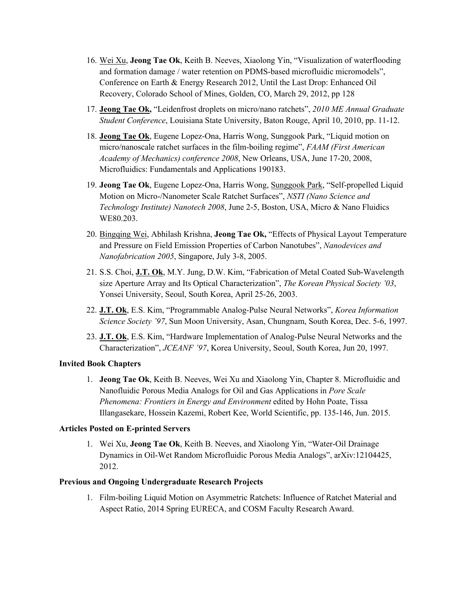- 16. Wei Xu, **Jeong Tae Ok**, Keith B. Neeves, Xiaolong Yin, "Visualization of waterflooding and formation damage / water retention on PDMS-based microfluidic micromodels", Conference on Earth & Energy Research 2012, Until the Last Drop: Enhanced Oil Recovery, Colorado School of Mines, Golden, CO, March 29, 2012, pp 128
- 17. **Jeong Tae Ok,** "Leidenfrost droplets on micro/nano ratchets", *2010 ME Annual Graduate Student Conference*, Louisiana State University, Baton Rouge, April 10, 2010, pp. 11-12.
- 18. **Jeong Tae Ok**, Eugene Lopez-Ona, Harris Wong, Sunggook Park, "Liquid motion on micro/nanoscale ratchet surfaces in the film-boiling regime", *FAAM (First American Academy of Mechanics) conference 2008*, New Orleans, USA, June 17-20, 2008, Microfluidics: Fundamentals and Applications 190183.
- 19. **Jeong Tae Ok**, Eugene Lopez-Ona, Harris Wong, Sunggook Park, "Self-propelled Liquid Motion on Micro-/Nanometer Scale Ratchet Surfaces", *NSTI (Nano Science and Technology Institute) Nanotech 2008*, June 2-5, Boston, USA, Micro & Nano Fluidics WE80.203.
- 20. Bingqing Wei, Abhilash Krishna, **Jeong Tae Ok,** "Effects of Physical Layout Temperature and Pressure on Field Emission Properties of Carbon Nanotubes", *Nanodevices and Nanofabrication 2005*, Singapore, July 3-8, 2005.
- 21. S.S. Choi, **J.T. Ok**, M.Y. Jung, D.W. Kim, "Fabrication of Metal Coated Sub-Wavelength size Aperture Array and Its Optical Characterization", *The Korean Physical Society '03*, Yonsei University, Seoul, South Korea, April 25-26, 2003.
- 22. **J.T. Ok**, E.S. Kim, "Programmable Analog-Pulse Neural Networks", *Korea Information Science Society '97*, Sun Moon University, Asan, Chungnam, South Korea, Dec. 5-6, 1997.
- 23. **J.T. Ok**, E.S. Kim, "Hardware Implementation of Analog-Pulse Neural Networks and the Characterization", *JCEANF '97*, Korea University, Seoul, South Korea, Jun 20, 1997.

# **Invited Book Chapters**

1. **Jeong Tae Ok**, Keith B. Neeves, Wei Xu and Xiaolong Yin, Chapter 8. Microfluidic and Nanofluidic Porous Media Analogs for Oil and Gas Applications in *Pore Scale Phenomena: Frontiers in Energy and Environment* edited by Hohn Poate, Tissa Illangasekare, Hossein Kazemi, Robert Kee, World Scientific, pp. 135-146, Jun. 2015.

# **Articles Posted on E-printed Servers**

1. Wei Xu, **Jeong Tae Ok**, Keith B. Neeves, and Xiaolong Yin, "Water-Oil Drainage Dynamics in Oil-Wet Random Microfluidic Porous Media Analogs", arXiv:12104425, 2012.

## **Previous and Ongoing Undergraduate Research Projects**

1. Film-boiling Liquid Motion on Asymmetric Ratchets: Influence of Ratchet Material and Aspect Ratio, 2014 Spring EURECA, and COSM Faculty Research Award.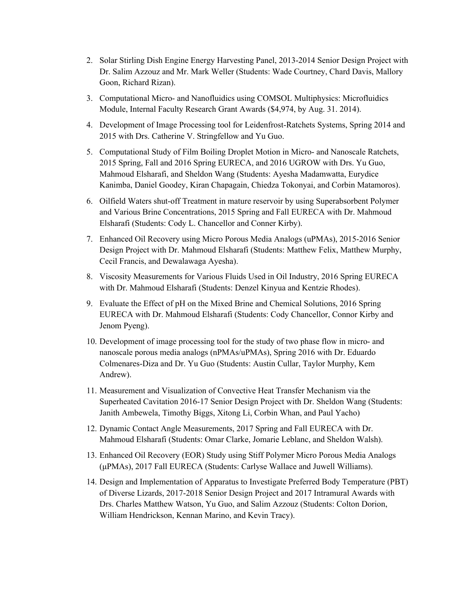- 2. Solar Stirling Dish Engine Energy Harvesting Panel, 2013-2014 Senior Design Project with Dr. Salim Azzouz and Mr. Mark Weller (Students: Wade Courtney, Chard Davis, Mallory Goon, Richard Rizan).
- 3. Computational Micro- and Nanofluidics using COMSOL Multiphysics: Microfluidics Module, Internal Faculty Research Grant Awards (\$4,974, by Aug. 31. 2014).
- 4. Development of Image Processing tool for Leidenfrost-Ratchets Systems, Spring 2014 and 2015 with Drs. Catherine V. Stringfellow and Yu Guo.
- 5. Computational Study of Film Boiling Droplet Motion in Micro- and Nanoscale Ratchets, 2015 Spring, Fall and 2016 Spring EURECA, and 2016 UGROW with Drs. Yu Guo, Mahmoud Elsharafi, and Sheldon Wang (Students: Ayesha Madamwatta, Eurydice Kanimba, Daniel Goodey, Kiran Chapagain, Chiedza Tokonyai, and Corbin Matamoros).
- 6. Oilfield Waters shut-off Treatment in mature reservoir by using Superabsorbent Polymer and Various Brine Concentrations, 2015 Spring and Fall EURECA with Dr. Mahmoud Elsharafi (Students: Cody L. Chancellor and Conner Kirby).
- 7. Enhanced Oil Recovery using Micro Porous Media Analogs (uPMAs), 2015-2016 Senior Design Project with Dr. Mahmoud Elsharafi (Students: Matthew Felix, Matthew Murphy, Cecil Francis, and Dewalawaga Ayesha).
- 8. Viscosity Measurements for Various Fluids Used in Oil Industry, 2016 Spring EURECA with Dr. Mahmoud Elsharafi (Students: Denzel Kinyua and Kentzie Rhodes).
- 9. Evaluate the Effect of pH on the Mixed Brine and Chemical Solutions, 2016 Spring EURECA with Dr. Mahmoud Elsharafi (Students: Cody Chancellor, Connor Kirby and Jenom Pyeng).
- 10. Development of image processing tool for the study of two phase flow in micro- and nanoscale porous media analogs (nPMAs/uPMAs), Spring 2016 with Dr. Eduardo Colmenares-Diza and Dr. Yu Guo (Students: Austin Cullar, Taylor Murphy, Kem Andrew).
- 11. Measurement and Visualization of Convective Heat Transfer Mechanism via the Superheated Cavitation 2016-17 Senior Design Project with Dr. Sheldon Wang (Students: Janith Ambewela, Timothy Biggs, Xitong Li, Corbin Whan, and Paul Yacho)
- 12. Dynamic Contact Angle Measurements, 2017 Spring and Fall EURECA with Dr. Mahmoud Elsharafi (Students: Omar Clarke, Jomarie Leblanc, and Sheldon Walsh).
- 13. Enhanced Oil Recovery (EOR) Study using Stiff Polymer Micro Porous Media Analogs (μPMAs), 2017 Fall EURECA (Students: Carlyse Wallace and Juwell Williams).
- 14. Design and Implementation of Apparatus to Investigate Preferred Body Temperature (PBT) of Diverse Lizards, 2017-2018 Senior Design Project and 2017 Intramural Awards with Drs. Charles Matthew Watson, Yu Guo, and Salim Azzouz (Students: Colton Dorion, William Hendrickson, Kennan Marino, and Kevin Tracy).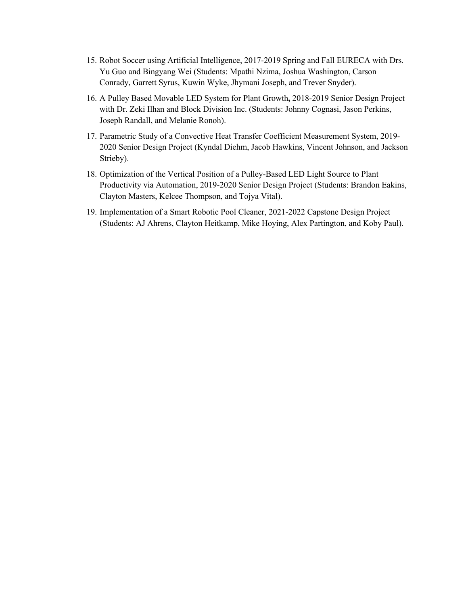- 15. Robot Soccer using Artificial Intelligence, 2017-2019 Spring and Fall EURECA with Drs. Yu Guo and Bingyang Wei (Students: Mpathi Nzima, Joshua Washington, Carson Conrady, Garrett Syrus, Kuwin Wyke, Jhymani Joseph, and Trever Snyder).
- 16. A Pulley Based Movable LED System for Plant Growth**,** 2018-2019 Senior Design Project with Dr. Zeki Ilhan and Block Division Inc. (Students: Johnny Cognasi, Jason Perkins, Joseph Randall, and Melanie Ronoh).
- 17. Parametric Study of a Convective Heat Transfer Coefficient Measurement System, 2019- 2020 Senior Design Project (Kyndal Diehm, Jacob Hawkins, Vincent Johnson, and Jackson Strieby).
- 18. Optimization of the Vertical Position of a Pulley-Based LED Light Source to Plant Productivity via Automation, 2019-2020 Senior Design Project (Students: Brandon Eakins, Clayton Masters, Kelcee Thompson, and Tojya Vital).
- 19. Implementation of a Smart Robotic Pool Cleaner, 2021-2022 Capstone Design Project (Students: AJ Ahrens, Clayton Heitkamp, Mike Hoying, Alex Partington, and Koby Paul).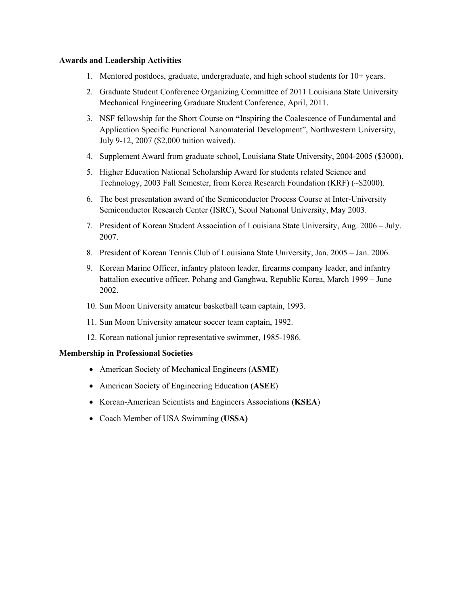#### **Awards and Leadership Activities**

- 1. Mentored postdocs, graduate, undergraduate, and high school students for 10+ years.
- 2. Graduate Student Conference Organizing Committee of 2011 Louisiana State University Mechanical Engineering Graduate Student Conference, April, 2011.
- 3. NSF fellowship for the Short Course on **"**Inspiring the Coalescence of Fundamental and Application Specific Functional Nanomaterial Development", Northwestern University, July 9-12, 2007 (\$2,000 tuition waived).
- 4. Supplement Award from graduate school, Louisiana State University, 2004-2005 (\$3000).
- 5. Higher Education National Scholarship Award for students related Science and Technology, 2003 Fall Semester, from Korea Research Foundation (KRF) (~\$2000).
- 6. The best presentation award of the Semiconductor Process Course at Inter-University Semiconductor Research Center (ISRC), Seoul National University, May 2003.
- 7. President of Korean Student Association of Louisiana State University, Aug. 2006 July. 2007.
- 8. President of Korean Tennis Club of Louisiana State University, Jan. 2005 Jan. 2006.
- 9. Korean Marine Officer, infantry platoon leader, firearms company leader, and infantry battalion executive officer, Pohang and Ganghwa, Republic Korea, March 1999 – June 2002.
- 10. Sun Moon University amateur basketball team captain, 1993.
- 11. Sun Moon University amateur soccer team captain, 1992.
- 12. Korean national junior representative swimmer, 1985-1986.

## **Membership in Professional Societies**

- American Society of Mechanical Engineers (**ASME**)
- American Society of Engineering Education (**ASEE**)
- Korean-American Scientists and Engineers Associations (**KSEA**)
- Coach Member of USA Swimming **(USSA)**